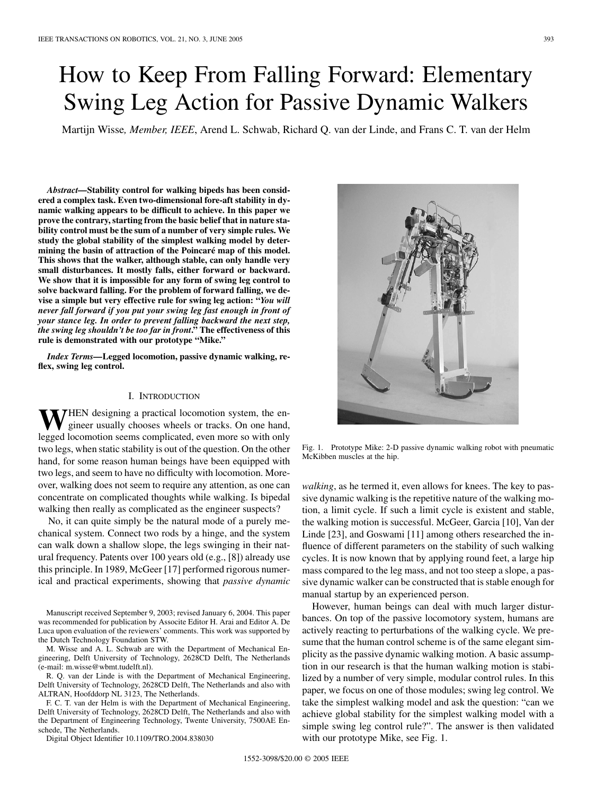# How to Keep From Falling Forward: Elementary Swing Leg Action for Passive Dynamic Walkers

Martijn Wisse*, Member, IEEE*, Arend L. Schwab, Richard Q. van der Linde, and Frans C. T. van der Helm

*Abstract—***Stability control for walking bipeds has been considered a complex task. Even two-dimensional fore-aft stability in dynamic walking appears to be difficult to achieve. In this paper we prove the contrary, starting from the basic belief that in nature stability control must be the sum of a number of very simple rules. We study the global stability of the simplest walking model by determining the basin of attraction of the Poincaré map of this model. This shows that the walker, although stable, can only handle very small disturbances. It mostly falls, either forward or backward. We show that it is impossible for any form of swing leg control to solve backward falling. For the problem of forward falling, we devise a simple but very effective rule for swing leg action: "***You will never fall forward if you put your swing leg fast enough in front of your stance leg. In order to prevent falling backward the next step, the swing leg shouldn't be too far in front***." The effectiveness of this rule is demonstrated with our prototype "Mike."**

*Index Terms—***Legged locomotion, passive dynamic walking, reflex, swing leg control.**

## I. INTRODUCTION

**THEN** designing a practical locomotion system, the engineer usually chooses wheels or tracks. On one hand, legged locomotion seems complicated, even more so with only two legs, when static stability is out of the question. On the other hand, for some reason human beings have been equipped with two legs, and seem to have no difficulty with locomotion. Moreover, walking does not seem to require any attention, as one can concentrate on complicated thoughts while walking. Is bipedal walking then really as complicated as the engineer suspects?

No, it can quite simply be the natural mode of a purely mechanical system. Connect two rods by a hinge, and the system can walk down a shallow slope, the legs swinging in their natural frequency. Patents over 100 years old (e.g., [[8\]](#page-7-0)) already use this principle. In 1989, McGeer [[17\]](#page-7-0) performed rigorous numerical and practical experiments, showing that *passive dynamic*

Manuscript received September 9, 2003; revised January 6, 2004. This paper was recommended for publication by Associte Editor H. Arai and Editor A. De Luca upon evaluation of the reviewers' comments. This work was supported by the Dutch Technology Foundation STW.

M. Wisse and A. L. Schwab are with the Department of Mechanical Engineering, Delft University of Technology, 2628CD Delft, The Netherlands (e-mail: m.wisse@wbmt.tudelft.nl).

R. Q. van der Linde is with the Department of Mechanical Engineering, Delft University of Technology, 2628CD Delft, The Netherlands and also with ALTRAN, Hoofddorp NL 3123, The Netherlands.

F. C. T. van der Helm is with the Department of Mechanical Engineering, Delft University of Technology, 2628CD Delft, The Netherlands and also with the Department of Engineering Technology, Twente University, 7500AE Enschede, The Netherlands.

Digital Object Identifier 10.1109/TRO.2004.838030



Fig. 1. Prototype Mike: 2-D passive dynamic walking robot with pneumatic McKibben muscles at the hip.

*walking*, as he termed it, even allows for knees. The key to passive dynamic walking is the repetitive nature of the walking motion, a limit cycle. If such a limit cycle is existent and stable, the walking motion is successful. McGeer, Garcia [[10\]](#page-7-0), Van der Linde [\[23](#page-7-0)], and Goswami [\[11](#page-7-0)] among others researched the influence of different parameters on the stability of such walking cycles. It is now known that by applying round feet, a large hip mass compared to the leg mass, and not too steep a slope, a passive dynamic walker can be constructed that is stable enough for manual startup by an experienced person.

However, human beings can deal with much larger disturbances. On top of the passive locomotory system, humans are actively reacting to perturbations of the walking cycle. We presume that the human control scheme is of the same elegant simplicity as the passive dynamic walking motion. A basic assumption in our research is that the human walking motion is stabilized by a number of very simple, modular control rules. In this paper, we focus on one of those modules; swing leg control. We take the simplest walking model and ask the question: "can we achieve global stability for the simplest walking model with a simple swing leg control rule?". The answer is then validated with our prototype Mike, see Fig. 1.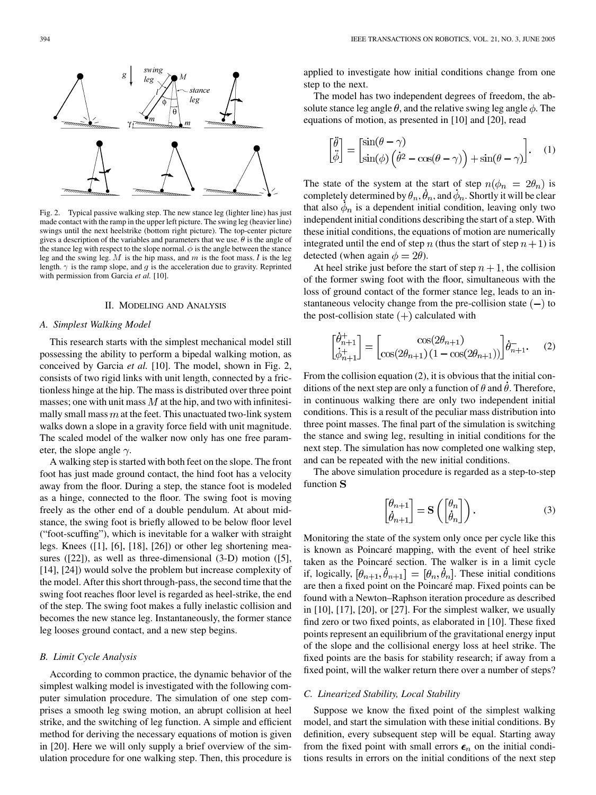

Fig. 2. Typical passive walking step. The new stance leg (lighter line) has just made contact with the ramp in the upper left picture. The swing leg (heavier line) swings until the next heelstrike (bottom right picture). The top-center picture gives a description of the variables and parameters that we use.  $\theta$  is the angle of the stance leg with respect to the slope normal.  $\phi$  is the angle between the stance leg and the swing leg.  $M$  is the hip mass, and  $m$  is the foot mass.  $l$  is the leg length.  $\gamma$  is the ramp slope, and g is the acceleration due to gravity. Reprinted with permission from Garcia *et al.* [[10\]](#page-7-0).

#### II. MODELING AND ANALYSIS

#### *A. Simplest Walking Model*

This research starts with the simplest mechanical model still possessing the ability to perform a bipedal walking motion, as conceived by Garcia *et al.* [\[10](#page-7-0)]. The model, shown in Fig. 2, consists of two rigid links with unit length, connected by a frictionless hinge at the hip. The mass is distributed over three point masses; one with unit mass  $M$  at the hip, and two with infinitesimally small mass  $m$  at the feet. This unactuated two-link system walks down a slope in a gravity force field with unit magnitude. The scaled model of the walker now only has one free parameter, the slope angle  $\gamma$ .

A walking step is started with both feet on the slope. The front foot has just made ground contact, the hind foot has a velocity away from the floor. During a step, the stance foot is modeled as a hinge, connected to the floor. The swing foot is moving freely as the other end of a double pendulum. At about midstance, the swing foot is briefly allowed to be below floor level ("foot-scuffing"), which is inevitable for a walker with straight legs. Knees ([\[1](#page-7-0)], [[6\]](#page-7-0), [[18\]](#page-7-0), [\[26\]](#page-7-0)) or other leg shortening measures ([[22\]](#page-7-0)), as well as three-dimensional (3-D) motion ([[5\]](#page-7-0), [[14\]](#page-7-0), [[24\]](#page-7-0)) would solve the problem but increase complexity of the model. After this short through-pass, the second time that the swing foot reaches floor level is regarded as heel-strike, the end of the step. The swing foot makes a fully inelastic collision and becomes the new stance leg. Instantaneously, the former stance leg looses ground contact, and a new step begins.

## *B. Limit Cycle Analysis*

According to common practice, the dynamic behavior of the simplest walking model is investigated with the following computer simulation procedure. The simulation of one step comprises a smooth leg swing motion, an abrupt collision at heel strike, and the switching of leg function. A simple and efficient method for deriving the necessary equations of motion is given in [[20\]](#page-7-0). Here we will only supply a brief overview of the simulation procedure for one walking step. Then, this procedure is applied to investigate how initial conditions change from one step to the next.

The model has two independent degrees of freedom, the absolute stance leg angle  $\theta$ , and the relative swing leg angle  $\phi$ . The equations of motion, as presented in [[10\]](#page-7-0) and [[20\]](#page-7-0), read

$$
\begin{bmatrix} \ddot{\theta} \\ \ddot{\phi} \end{bmatrix} = \begin{bmatrix} \sin(\theta - \gamma) \\ \sin(\phi) \left( \dot{\theta}^2 - \cos(\theta - \gamma) \right) + \sin(\theta - \gamma) \end{bmatrix}.
$$
 (1)

The state of the system at the start of step  $n(\phi_n = 2\theta_n)$  is completely determined by  $\theta_n$ ,  $\theta_n$ , and  $\phi_n$ . Shortly it will be clear that also  $\phi_n$  is a dependent initial condition, leaving only two independent initial conditions describing the start of a step. With these initial conditions, the equations of motion are numerically integrated until the end of step n (thus the start of step  $n + 1$ ) is detected (when again  $\phi = 2\theta$ ).

At heel strike just before the start of step  $n + 1$ , the collision of the former swing foot with the floor, simultaneous with the loss of ground contact of the former stance leg, leads to an instantaneous velocity change from the pre-collision state  $(-)$  to the post-collision state  $(+)$  calculated with

$$
\begin{bmatrix} \theta_{n+1}^+ \\ \dot{\phi}_{n+1}^+ \end{bmatrix} = \begin{bmatrix} \cos(2\theta_{n+1}) \\ \cos(2\theta_{n+1})(1 - \cos(2\theta_{n+1})) \end{bmatrix} \dot{\theta}_{n+1}^-.
$$
 (2)

From the collision equation (2), it is obvious that the initial conditions of the next step are only a function of  $\theta$  and  $\theta$ . Therefore, in continuous walking there are only two independent initial conditions. This is a result of the peculiar mass distribution into three point masses. The final part of the simulation is switching the stance and swing leg, resulting in initial conditions for the next step. The simulation has now completed one walking step, and can be repeated with the new initial conditions.

The above simulation procedure is regarded as a step-to-step function S

$$
\begin{bmatrix} \theta_{n+1} \\ \dot{\theta}_{n+1} \end{bmatrix} = \mathbf{S} \left( \begin{bmatrix} \theta_n \\ \dot{\theta}_n \end{bmatrix} \right). \tag{3}
$$

Monitoring the state of the system only once per cycle like this is known as Poincaré mapping, with the event of heel strike taken as the Poincaré section. The walker is in a limit cycle if, logically,  $[\hat{\theta}_{n+1}, \hat{\theta}_{n+1}] = [\hat{\theta}_n, \hat{\theta}_n]$ . These initial conditions are then a fixed point on the Poincaré map. Fixed points can be found with a Newton–Raphson iteration procedure as described in [\[10](#page-7-0)], [\[17](#page-7-0)], [\[20](#page-7-0)], or [[27\]](#page-7-0). For the simplest walker, we usually find zero or two fixed points, as elaborated in [\[10](#page-7-0)]. These fixed points represent an equilibrium of the gravitational energy input of the slope and the collisional energy loss at heel strike. The fixed points are the basis for stability research; if away from a fixed point, will the walker return there over a number of steps?

## *C. Linearized Stability, Local Stability*

Suppose we know the fixed point of the simplest walking model, and start the simulation with these initial conditions. By definition, every subsequent step will be equal. Starting away from the fixed point with small errors  $\epsilon_n$  on the initial conditions results in errors on the initial conditions of the next step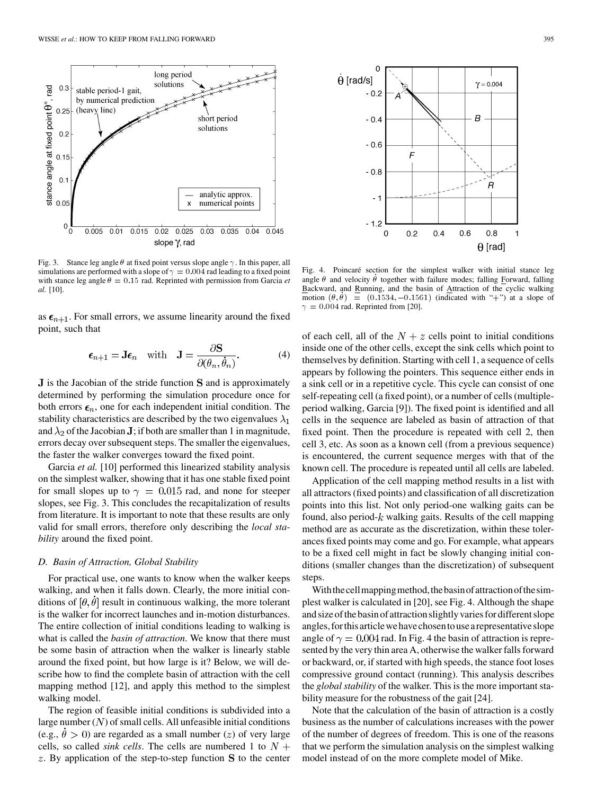

Fig. 3. Stance leg angle  $\theta$  at fixed point versus slope angle  $\gamma$ . In this paper, all simulations are performed with a slope of  $\gamma = 0.004$  rad leading to a fixed point with stance leg angle  $\theta = 0.15$  rad. Reprinted with permission from Garcia *et al.* [\[10](#page-7-0)].

as  $\epsilon_{n+1}$ . For small errors, we assume linearity around the fixed point, such that

$$
\epsilon_{n+1} = \mathbf{J}\epsilon_n \quad \text{with} \quad \mathbf{J} = \frac{\partial \mathbf{S}}{\partial(\theta_n, \dot{\theta}_n)}.
$$
 (4)

 $J$  is the Jacobian of the stride function  $S$  and is approximately determined by performing the simulation procedure once for both errors  $\epsilon_n$ , one for each independent initial condition. The stability characteristics are described by the two eigenvalues  $\lambda_1$ and  $\lambda_2$  of the Jacobian **J**; if both are smaller than 1 in magnitude, errors decay over subsequent steps. The smaller the eigenvalues, the faster the walker converges toward the fixed point.

Garcia *et al.* [\[10](#page-7-0)] performed this linearized stability analysis on the simplest walker, showing that it has one stable fixed point for small slopes up to  $\gamma = 0.015$  rad, and none for steeper slopes, see Fig. 3. This concludes the recapitalization of results from literature. It is important to note that these results are only valid for small errors, therefore only describing the *local stability* around the fixed point.

## *D. Basin of Attraction, Global Stability*

For practical use, one wants to know when the walker keeps walking, and when it falls down. Clearly, the more initial conditions of  $\left[\theta, \dot{\theta}\right]$  result in continuous walking, the more tolerant is the walker for incorrect launches and in-motion disturbances. The entire collection of initial conditions leading to walking is what is called the *basin of attraction*. We know that there must be some basin of attraction when the walker is linearly stable around the fixed point, but how large is it? Below, we will describe how to find the complete basin of attraction with the cell mapping method [[12\]](#page-7-0), and apply this method to the simplest walking model.

The region of feasible initial conditions is subdivided into a large number  $(N)$  of small cells. All unfeasible initial conditions (e.g.,  $\dot{\theta} > 0$ ) are regarded as a small number (*z*) of very large cells, so called *sink cells*. The cells are numbered 1 to  $N +$  $z$ . By application of the step-to-step function  $S$  to the center



Fig. 4. Poincaré section for the simplest walker with initial stance leg angle  $\theta$  and velocity  $\dot{\theta}$  together with failure modes; falling Forward, falling Backward, and Running, and the basin of Attraction of the cyclic walking Fig. 4. Poincaré section for the simplest walker with initial stance leg<br>angle  $\theta$  and velocity  $\dot{\theta}$  together with failure modes; falling Forward, falling<br>Backward, and Running, and the basin of Attraction of the cycl  $\gamma = 0.004$  rad. Reprinted from [[20\]](#page-7-0).

of each cell, all of the  $N + z$  cells point to initial conditions inside one of the other cells, except the sink cells which point to themselves by definition. Starting with cell 1, a sequence of cells appears by following the pointers. This sequence either ends in a sink cell or in a repetitive cycle. This cycle can consist of one self-repeating cell (a fixed point), or a number of cells (multipleperiod walking, Garcia [[9\]](#page-7-0)). The fixed point is identified and all cells in the sequence are labeled as basin of attraction of that fixed point. Then the procedure is repeated with cell 2, then cell 3, etc. As soon as a known cell (from a previous sequence) is encountered, the current sequence merges with that of the known cell. The procedure is repeated until all cells are labeled.

Application of the cell mapping method results in a list with all attractors (fixed points) and classification of all discretization points into this list. Not only period-one walking gaits can be found, also period- $k$  walking gaits. Results of the cell mapping method are as accurate as the discretization, within these tolerances fixed points may come and go. For example, what appears to be a fixed cell might in fact be slowly changing initial conditions (smaller changes than the discretization) of subsequent steps.

With the cell mapping method, the basin of attraction of the simplest walker is calculated in [\[20](#page-7-0)], see Fig. 4. Although the shape and size of the basin of attraction slightly varies for different slope angles,forthisarticlewehavechosentousearepresentativeslope angle of  $\gamma = 0.004$  rad. In Fig. 4 the basin of attraction is represented by the very thin area A, otherwise the walker falls forward or backward, or, if started with high speeds, the stance foot loses compressive ground contact (running). This analysis describes the *global stability* of the walker. This is the more important stability measure for the robustness of the gait [[24\]](#page-7-0).

Note that the calculation of the basin of attraction is a costly business as the number of calculations increases with the power of the number of degrees of freedom. This is one of the reasons that we perform the simulation analysis on the simplest walking model instead of on the more complete model of Mike.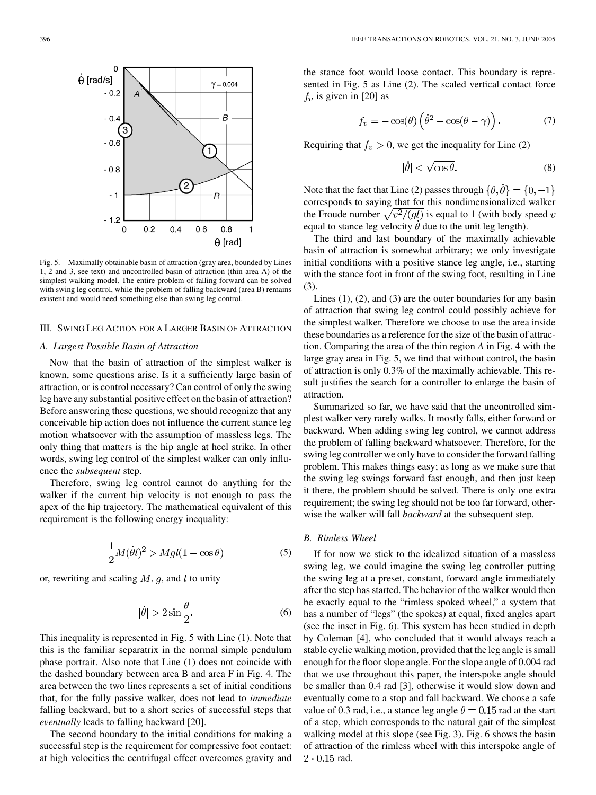

Fig. 5. Maximally obtainable basin of attraction (gray area, bounded by Lines 1, 2 and 3, see text) and uncontrolled basin of attraction (thin area A) of the simplest walking model. The entire problem of falling forward can be solved with swing leg control, while the problem of falling backward (area B) remains existent and would need something else than swing leg control.

## III. SWING LEG ACTION FOR A LARGER BASIN OF ATTRACTION

### *A. Largest Possible Basin of Attraction*

Now that the basin of attraction of the simplest walker is known, some questions arise. Is it a sufficiently large basin of attraction, or is control necessary? Can control of only the swing leg have any substantial positive effect on the basin of attraction? Before answering these questions, we should recognize that any conceivable hip action does not influence the current stance leg motion whatsoever with the assumption of massless legs. The only thing that matters is the hip angle at heel strike. In other words, swing leg control of the simplest walker can only influence the *subsequent* step.

Therefore, swing leg control cannot do anything for the walker if the current hip velocity is not enough to pass the apex of the hip trajectory. The mathematical equivalent of this requirement is the following energy inequality:

$$
\frac{1}{2}M(\dot{\theta}l)^2 > Mgl(1 - \cos\theta)
$$
 (5)

or, rewriting and scaling  $M$ ,  $g$ , and  $l$  to unity

$$
|\dot{\theta}| > 2\sin\frac{\theta}{2}.\tag{6}
$$

This inequality is represented in Fig. 5 with Line (1). Note that this is the familiar separatrix in the normal simple pendulum phase portrait. Also note that Line (1) does not coincide with the dashed boundary between area B and area F in Fig. 4. The area between the two lines represents a set of initial conditions that, for the fully passive walker, does not lead to *immediate* falling backward, but to a short series of successful steps that *eventually* leads to falling backward [[20\]](#page-7-0).

The second boundary to the initial conditions for making a successful step is the requirement for compressive foot contact: at high velocities the centrifugal effect overcomes gravity and

the stance foot would loose contact. This boundary is represented in Fig. 5 as Line (2). The scaled vertical contact force  $f_v$  is given in [\[20](#page-7-0)] as

$$
f_v = -\cos(\theta) \left(\dot{\theta}^2 - \cos(\theta - \gamma)\right). \tag{7}
$$

Requiring that  $f_v > 0$ , we get the inequality for Line (2)

$$
|\dot{\theta}| < \sqrt{\cos \theta}.\tag{8}
$$

Note that the fact that Line (2) passes through  $\{\theta, \dot{\theta}\} = \{0, -1\}$ corresponds to saying that for this nondimensionalized walker the Froude number  $\sqrt{v^2/(gl)}$  is equal to 1 (with body speed v equal to stance leg velocity  $\dot{\theta}$  due to the unit leg length).

The third and last boundary of the maximally achievable basin of attraction is somewhat arbitrary; we only investigate initial conditions with a positive stance leg angle, i.e., starting with the stance foot in front of the swing foot, resulting in Line (3).

Lines (1), (2), and (3) are the outer boundaries for any basin of attraction that swing leg control could possibly achieve for the simplest walker. Therefore we choose to use the area inside these boundaries as a reference for the size of the basin of attraction. Comparing the area of the thin region *A* in Fig. 4 with the large gray area in Fig. 5, we find that without control, the basin of attraction is only 0.3% of the maximally achievable. This result justifies the search for a controller to enlarge the basin of attraction.

Summarized so far, we have said that the uncontrolled simplest walker very rarely walks. It mostly falls, either forward or backward. When adding swing leg control, we cannot address the problem of falling backward whatsoever. Therefore, for the swing leg controller we only have to consider the forward falling problem. This makes things easy; as long as we make sure that the swing leg swings forward fast enough, and then just keep it there, the problem should be solved. There is only one extra requirement; the swing leg should not be too far forward, otherwise the walker will fall *backward* at the subsequent step.

# *B. Rimless Wheel*

If for now we stick to the idealized situation of a massless swing leg, we could imagine the swing leg controller putting the swing leg at a preset, constant, forward angle immediately after the step has started. The behavior of the walker would then be exactly equal to the "rimless spoked wheel," a system that has a number of "legs" (the spokes) at equal, fixed angles apart (see the inset in Fig. 6). This system has been studied in depth by Coleman [[4\]](#page-7-0), who concluded that it would always reach a stable cyclic walking motion, provided that the leg angle is small enough for the floor slope angle. For the slope angle of 0.004 rad that we use throughout this paper, the interspoke angle should be smaller than 0.4 rad [[3\]](#page-7-0), otherwise it would slow down and eventually come to a stop and fall backward. We choose a safe value of 0.3 rad, i.e., a stance leg angle  $\theta = 0.15$  rad at the start of a step, which corresponds to the natural gait of the simplest walking model at this slope (see Fig. 3). Fig. 6 shows the basin of attraction of the rimless wheel with this interspoke angle of  $2 \cdot 0.15$  rad.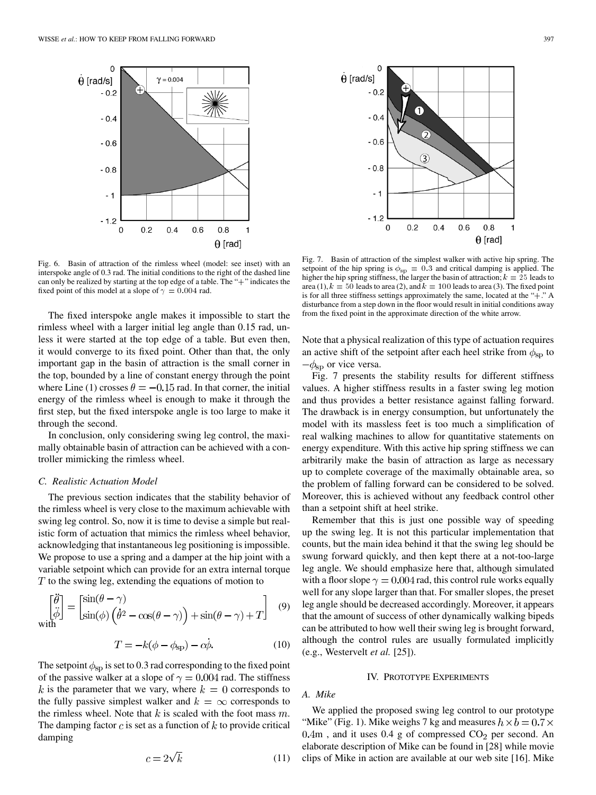

Fig. 6. Basin of attraction of the rimless wheel (model: see inset) with an interspoke angle of 0.3 rad. The initial conditions to the right of the dashed line can only be realized by starting at the top edge of a table. The "+" indicates the fixed point of this model at a slope of  $\gamma = 0.004$  rad.

The fixed interspoke angle makes it impossible to start the rimless wheel with a larger initial leg angle than 0.15 rad, unless it were started at the top edge of a table. But even then, it would converge to its fixed point. Other than that, the only important gap in the basin of attraction is the small corner in the top, bounded by a line of constant energy through the point where Line (1) crosses  $\theta = -0.15$  rad. In that corner, the initial energy of the rimless wheel is enough to make it through the first step, but the fixed interspoke angle is too large to make it through the second.

In conclusion, only considering swing leg control, the maximally obtainable basin of attraction can be achieved with a controller mimicking the rimless wheel.

#### *C. Realistic Actuation Model*

The previous section indicates that the stability behavior of the rimless wheel is very close to the maximum achievable with swing leg control. So, now it is time to devise a simple but realistic form of actuation that mimics the rimless wheel behavior, acknowledging that instantaneous leg positioning is impossible. We propose to use a spring and a damper at the hip joint with a variable setpoint which can provide for an extra internal torque  $T$  to the swing leg, extending the equations of motion to

$$
\begin{bmatrix} \ddot{\theta} \\ \ddot{\phi} \end{bmatrix} = \begin{bmatrix} \sin(\theta - \gamma) \\ \sin(\phi) \left( \dot{\theta}^2 - \cos(\theta - \gamma) \right) + \sin(\theta - \gamma) + T \end{bmatrix} \quad (9)
$$

$$
T = -k(\phi - \phi_{\rm sp}) - c\dot{\phi}.
$$
 (10)

The setpoint  $\phi_{\rm sp}$  is set to 0.3 rad corresponding to the fixed point of the passive walker at a slope of  $\gamma = 0.004$  rad. The stiffness k is the parameter that we vary, where  $k=0$  corresponds to the fully passive simplest walker and  $k = \infty$  corresponds to the rimless wheel. Note that  $k$  is scaled with the foot mass  $m$ . The damping factor  $c$  is set as a function of  $k$  to provide critical damping

$$
c = 2\sqrt{k} \tag{11}
$$



 $\mathbf 0$  $0.2$  $0.4$  $0.6$  $0.8$ 1  $\theta$  [rad] Fig. 7. Basin of attraction of the simplest walker with active hip spring. The setpoint of the hip spring is  $\phi_{sp} = 0.3$  and critical damping is applied. The higher the hip spring stiffness, the larger the basin of attraction;  $k = 25$  leads to area (1),  $k = 50$  leads to area (2), and  $k = 100$  leads to area (3). The fixed point is for all three stiffness settings approximately the same, located at the "+." A disturbance from a step down in the floor would result in initial conditions away from the fixed point in the approximate direction of the white arrow.

 $\circled{3}$ 

 $\dot{\theta}$  [rad/s]

 $-02$ 

 $-0.4$ 

 $-0.6$ 

 $-0.8$ 

- 1

 $-1.2$ 

Note that a physical realization of this type of actuation requires an active shift of the setpoint after each heel strike from  $\phi_{\rm sp}$  to  $-\phi_{\rm sp}$  or vice versa.

Fig. 7 presents the stability results for different stiffness values. A higher stiffness results in a faster swing leg motion and thus provides a better resistance against falling forward. The drawback is in energy consumption, but unfortunately the model with its massless feet is too much a simplification of real walking machines to allow for quantitative statements on energy expenditure. With this active hip spring stiffness we can arbitrarily make the basin of attraction as large as necessary up to complete coverage of the maximally obtainable area, so the problem of falling forward can be considered to be solved. Moreover, this is achieved without any feedback control other than a setpoint shift at heel strike.

Remember that this is just one possible way of speeding up the swing leg. It is not this particular implementation that counts, but the main idea behind it that the swing leg should be swung forward quickly, and then kept there at a not-too-large leg angle. We should emphasize here that, although simulated with a floor slope  $\gamma = 0.004$  rad, this control rule works equally well for any slope larger than that. For smaller slopes, the preset leg angle should be decreased accordingly. Moreover, it appears that the amount of success of other dynamically walking bipeds can be attributed to how well their swing leg is brought forward, although the control rules are usually formulated implicitly (e.g., Westervelt *et al.* [[25\]](#page-7-0)).

## IV. PROTOTYPE EXPERIMENTS

*A. Mike*

We applied the proposed swing leg control to our prototype "Mike" (Fig. 1). Mike weighs 7 kg and measures  $h \times b = 0.7 \times$  $0.4m$ , and it uses  $0.4$  g of compressed  $CO<sub>2</sub>$  per second. An elaborate description of Mike can be found in [\[28](#page-7-0)] while movie clips of Mike in action are available at our web site [[16\]](#page-7-0). Mike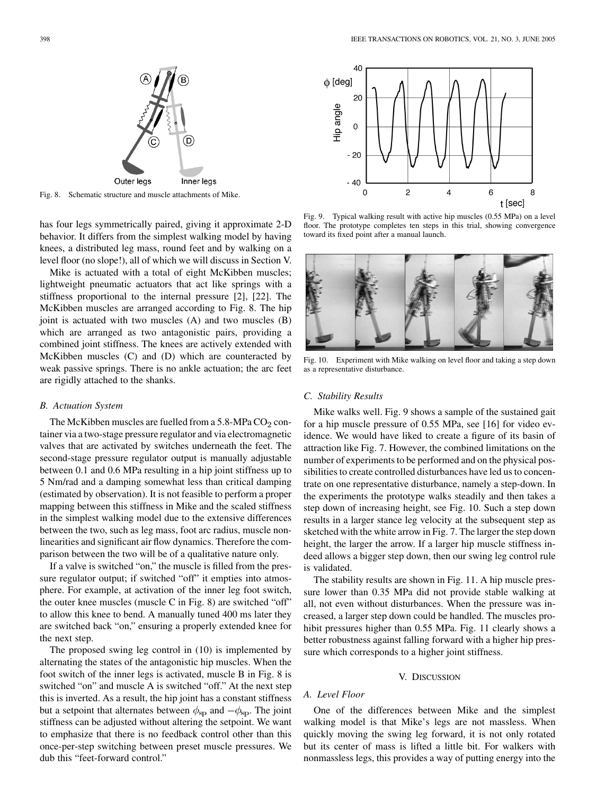

Fig. 8. Schematic structure and muscle attachments of Mike.

has four legs symmetrically paired, giving it approximate 2-D behavior. It differs from the simplest walking model by having knees, a distributed leg mass, round feet and by walking on a level floor (no slope!), all of which we will discuss in Section V.

Mike is actuated with a total of eight McKibben muscles; lightweight pneumatic actuators that act like springs with a stiffness proportional to the internal pressure [\[2](#page-7-0)], [[22\]](#page-7-0). The McKibben muscles are arranged according to Fig. 8. The hip joint is actuated with two muscles (A) and two muscles (B) which are arranged as two antagonistic pairs, providing a combined joint stiffness. The knees are actively extended with McKibben muscles (C) and (D) which are counteracted by weak passive springs. There is no ankle actuation; the arc feet are rigidly attached to the shanks.

#### *B. Actuation System*

The McKibben muscles are fuelled from a  $5.8$ -MPa CO<sub>2</sub> container via a two-stage pressure regulator and via electromagnetic valves that are activated by switches underneath the feet. The second-stage pressure regulator output is manually adjustable between 0.1 and 0.6 MPa resulting in a hip joint stiffness up to 5 Nm/rad and a damping somewhat less than critical damping (estimated by observation). It is not feasible to perform a proper mapping between this stiffness in Mike and the scaled stiffness in the simplest walking model due to the extensive differences between the two, such as leg mass, foot arc radius, muscle nonlinearities and significant air flow dynamics. Therefore the comparison between the two will be of a qualitative nature only.

If a valve is switched "on," the muscle is filled from the pressure regulator output; if switched "off" it empties into atmosphere. For example, at activation of the inner leg foot switch, the outer knee muscles (muscle C in Fig. 8) are switched "off" to allow this knee to bend. A manually tuned 400 ms later they are switched back "on," ensuring a properly extended knee for the next step.

The proposed swing leg control in (10) is implemented by alternating the states of the antagonistic hip muscles. When the foot switch of the inner legs is activated, muscle B in Fig. 8 is switched "on" and muscle A is switched "off." At the next step this is inverted. As a result, the hip joint has a constant stiffness but a setpoint that alternates between  $\phi_{\rm sp}$  and  $-\phi_{\rm sp}$ . The joint stiffness can be adjusted without altering the setpoint. We want to emphasize that there is no feedback control other than this once-per-step switching between preset muscle pressures. We dub this "feet-forward control."



Fig. 9. Typical walking result with active hip muscles (0.55 MPa) on a level floor. The prototype completes ten steps in this trial, showing convergence toward its fixed point after a manual launch.



Fig. 10. Experiment with Mike walking on level floor and taking a step down as a representative disturbance.

# *C. Stability Results*

Mike walks well. Fig. 9 shows a sample of the sustained gait for a hip muscle pressure of 0.55 MPa, see [[16\]](#page-7-0) for video evidence. We would have liked to create a figure of its basin of attraction like Fig. 7. However, the combined limitations on the number of experiments to be performed and on the physical possibilities to create controlled disturbances have led us to concentrate on one representative disturbance, namely a step-down. In the experiments the prototype walks steadily and then takes a step down of increasing height, see Fig. 10. Such a step down results in a larger stance leg velocity at the subsequent step as sketched with the white arrow in Fig. 7. The larger the step down height, the larger the arrow. If a larger hip muscle stiffness indeed allows a bigger step down, then our swing leg control rule is validated.

The stability results are shown in Fig. 11. A hip muscle pressure lower than 0.35 MPa did not provide stable walking at all, not even without disturbances. When the pressure was increased, a larger step down could be handled. The muscles prohibit pressures higher than 0.55 MPa. Fig. 11 clearly shows a better robustness against falling forward with a higher hip pressure which corresponds to a higher joint stiffness.

#### V. DISCUSSION

# *A. Level Floor*

One of the differences between Mike and the simplest walking model is that Mike's legs are not massless. When quickly moving the swing leg forward, it is not only rotated but its center of mass is lifted a little bit. For walkers with nonmassless legs, this provides a way of putting energy into the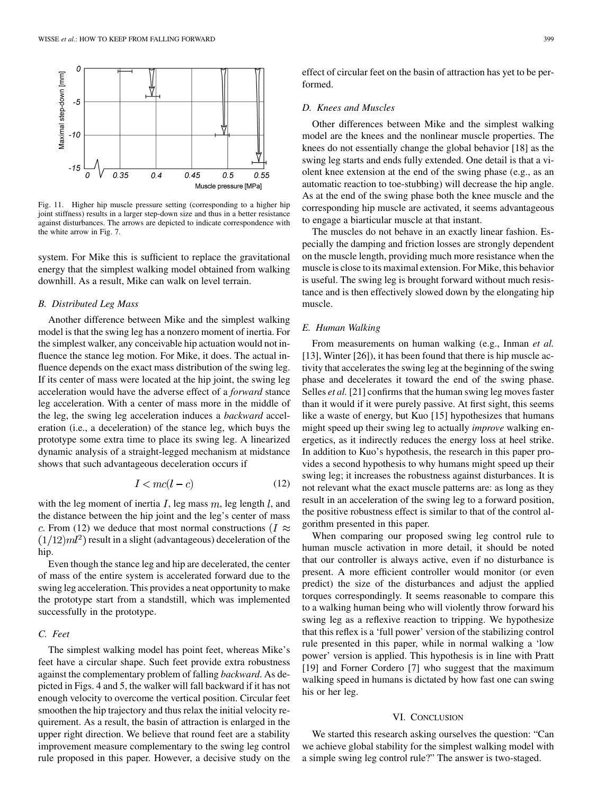

Fig. 11. Higher hip muscle pressure setting (corresponding to a higher hip joint stiffness) results in a larger step-down size and thus in a better resistance against disturbances. The arrows are depicted to indicate correspondence with the white arrow in Fig. 7.

system. For Mike this is sufficient to replace the gravitational energy that the simplest walking model obtained from walking downhill. As a result, Mike can walk on level terrain.

### *B. Distributed Leg Mass*

Another difference between Mike and the simplest walking model is that the swing leg has a nonzero moment of inertia. For the simplest walker, any conceivable hip actuation would not influence the stance leg motion. For Mike, it does. The actual influence depends on the exact mass distribution of the swing leg. If its center of mass were located at the hip joint, the swing leg acceleration would have the adverse effect of a *forward* stance leg acceleration. With a center of mass more in the middle of the leg, the swing leg acceleration induces a *backward* acceleration (i.e., a deceleration) of the stance leg, which buys the prototype some extra time to place its swing leg. A linearized dynamic analysis of a straight-legged mechanism at midstance shows that such advantageous deceleration occurs if

$$
I < mc(l-c) \tag{12}
$$

with the leg moment of inertia  $I$ , leg mass  $m$ , leg length  $l$ , and the distance between the hip joint and the leg's center of mass c. From (12) we deduce that most normal constructions ( $I \approx$  $(1/12)ml^2$ ) result in a slight (advantageous) deceleration of the hip.

Even though the stance leg and hip are decelerated, the center of mass of the entire system is accelerated forward due to the swing leg acceleration. This provides a neat opportunity to make the prototype start from a standstill, which was implemented successfully in the prototype.

# *C. Feet*

The simplest walking model has point feet, whereas Mike's feet have a circular shape. Such feet provide extra robustness against the complementary problem of falling *backward*. As depicted in Figs. 4 and 5, the walker will fall backward if it has not enough velocity to overcome the vertical position. Circular feet smoothen the hip trajectory and thus relax the initial velocity requirement. As a result, the basin of attraction is enlarged in the upper right direction. We believe that round feet are a stability improvement measure complementary to the swing leg control rule proposed in this paper. However, a decisive study on the

effect of circular feet on the basin of attraction has yet to be performed.

### *D. Knees and Muscles*

Other differences between Mike and the simplest walking model are the knees and the nonlinear muscle properties. The knees do not essentially change the global behavior [\[18](#page-7-0)] as the swing leg starts and ends fully extended. One detail is that a violent knee extension at the end of the swing phase (e.g., as an automatic reaction to toe-stubbing) will decrease the hip angle. As at the end of the swing phase both the knee muscle and the corresponding hip muscle are activated, it seems advantageous to engage a biarticular muscle at that instant.

The muscles do not behave in an exactly linear fashion. Especially the damping and friction losses are strongly dependent on the muscle length, providing much more resistance when the muscle is close to its maximal extension. For Mike, this behavior is useful. The swing leg is brought forward without much resistance and is then effectively slowed down by the elongating hip muscle.

#### *E. Human Walking*

From measurements on human walking (e.g., Inman *et al.* [\[13](#page-7-0)], Winter [\[26](#page-7-0)]), it has been found that there is hip muscle activity that accelerates the swing leg at the beginning of the swing phase and decelerates it toward the end of the swing phase. Selles *et al.* [\[21](#page-7-0)] confirms that the human swing leg moves faster than it would if it were purely passive. At first sight, this seems like a waste of energy, but Kuo [[15\]](#page-7-0) hypothesizes that humans might speed up their swing leg to actually *improve* walking energetics, as it indirectly reduces the energy loss at heel strike. In addition to Kuo's hypothesis, the research in this paper provides a second hypothesis to why humans might speed up their swing leg; it increases the robustness against disturbances. It is not relevant what the exact muscle patterns are: as long as they result in an acceleration of the swing leg to a forward position, the positive robustness effect is similar to that of the control algorithm presented in this paper.

When comparing our proposed swing leg control rule to human muscle activation in more detail, it should be noted that our controller is always active, even if no disturbance is present. A more efficient controller would monitor (or even predict) the size of the disturbances and adjust the applied torques correspondingly. It seems reasonable to compare this to a walking human being who will violently throw forward his swing leg as a reflexive reaction to tripping. We hypothesize that this reflex is a 'full power' version of the stabilizing control rule presented in this paper, while in normal walking a 'low power' version is applied. This hypothesis is in line with Pratt [\[19](#page-7-0)] and Forner Cordero [[7\]](#page-7-0) who suggest that the maximum walking speed in humans is dictated by how fast one can swing his or her leg.

#### VI. CONCLUSION

We started this research asking ourselves the question: "Can we achieve global stability for the simplest walking model with a simple swing leg control rule?" The answer is two-staged.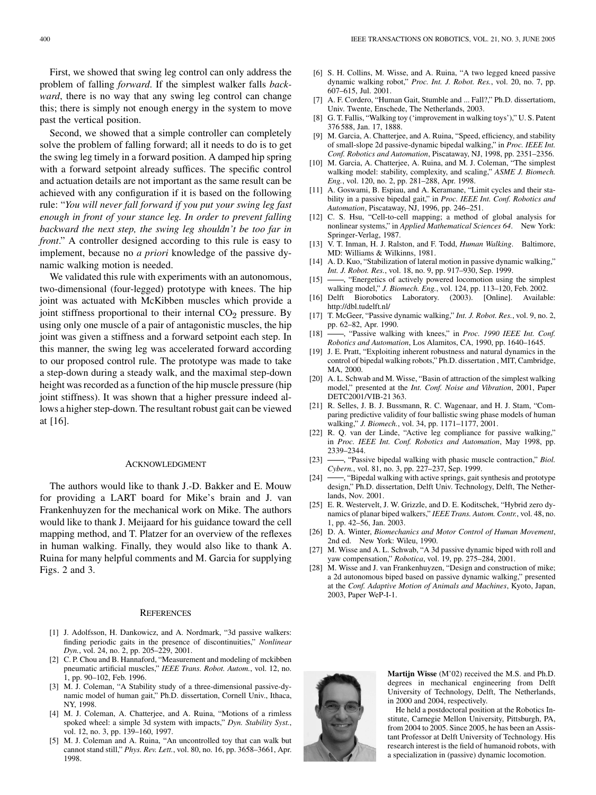<span id="page-7-0"></span>First, we showed that swing leg control can only address the problem of falling *forward*. If the simplest walker falls *backward*, there is no way that any swing leg control can change this; there is simply not enough energy in the system to move past the vertical position.

Second, we showed that a simple controller can completely solve the problem of falling forward; all it needs to do is to get the swing leg timely in a forward position. A damped hip spring with a forward setpoint already suffices. The specific control and actuation details are not important as the same result can be achieved with any configuration if it is based on the following rule: "*You will never fall forward if you put your swing leg fast enough in front of your stance leg. In order to prevent falling backward the next step, the swing leg shouldn't be too far in front*." A controller designed according to this rule is easy to implement, because no *a priori* knowledge of the passive dynamic walking motion is needed.

We validated this rule with experiments with an autonomous, two-dimensional (four-legged) prototype with knees. The hip joint was actuated with McKibben muscles which provide a joint stiffness proportional to their internal  $CO<sub>2</sub>$  pressure. By using only one muscle of a pair of antagonistic muscles, the hip joint was given a stiffness and a forward setpoint each step. In this manner, the swing leg was accelerated forward according to our proposed control rule. The prototype was made to take a step-down during a steady walk, and the maximal step-down height was recorded as a function of the hip muscle pressure (hip joint stiffness). It was shown that a higher pressure indeed allows a higher step-down. The resultant robust gait can be viewed at [16].

#### ACKNOWLEDGMENT

The authors would like to thank J.-D. Bakker and E. Mouw for providing a LART board for Mike's brain and J. van Frankenhuyzen for the mechanical work on Mike. The authors would like to thank J. Meijaard for his guidance toward the cell mapping method, and T. Platzer for an overview of the reflexes in human walking. Finally, they would also like to thank A. Ruina for many helpful comments and M. Garcia for supplying Figs. 2 and 3.

#### **REFERENCES**

- [1] J. Adolfsson, H. Dankowicz, and A. Nordmark, "3d passive walkers: finding periodic gaits in the presence of discontinuities," *Nonlinear Dyn.*, vol. 24, no. 2, pp. 205–229, 2001.
- [2] C. P. Chou and B. Hannaford, "Measurement and modeling of mckibben pneumatic artificial muscles," *IEEE Trans. Robot. Autom.*, vol. 12, no. 1, pp. 90–102, Feb. 1996.
- [3] M. J. Coleman, "A Stability study of a three-dimensional passive-dynamic model of human gait," Ph.D. dissertation, Cornell Univ., Ithaca, NY, 1998.
- [4] M. J. Coleman, A. Chatterjee, and A. Ruina, "Motions of a rimless spoked wheel: a simple 3d system with impacts," *Dyn. Stability Syst.*, vol. 12, no. 3, pp. 139–160, 1997.
- [5] M. J. Coleman and A. Ruina, "An uncontrolled toy that can walk but cannot stand still," *Phys. Rev. Lett.*, vol. 80, no. 16, pp. 3658–3661, Apr. 1998.
- [6] S. H. Collins, M. Wisse, and A. Ruina, "A two legged kneed passive dynamic walking robot," *Proc. Int. J. Robot. Res.*, vol. 20, no. 7, pp. 607–615, Jul. 2001.
- [7] A. F. Cordero, "Human Gait, Stumble and ... Fall?," Ph.D. dissertatiom, Univ. Twente, Enschede, The Netherlands, 2003.
- [8] G. T. Fallis, "Walking toy ('improvement in walking toys')," U. S. Patent 376 588, Jan. 17, 1888.
- [9] M. Garcia, A. Chatterjee, and A. Ruina, "Speed, efficiency, and stability of small-slope 2d passive-dynamic bipedal walking," in *Proc. IEEE Int. Conf. Robotics and Automation*, Piscataway, NJ, 1998, pp. 2351–2356.
- [10] M. Garcia, A. Chatterjee, A. Ruina, and M. J. Coleman, "The simplest walking model: stability, complexity, and scaling," *ASME J. Biomech. Eng.*, vol. 120, no. 2, pp. 281–288, Apr. 1998.
- [11] A. Goswami, B. Espiau, and A. Keramane, "Limit cycles and their stability in a passive bipedal gait," in *Proc. IEEE Int. Conf. Robotics and Automation*, Piscataway, NJ, 1996, pp. 246–251.
- [12] C. S. Hsu, "Cell-to-cell mapping; a method of global analysis for nonlinear systems," in *Applied Mathematical Sciences 64*. New York: Springer-Verlag, 1987.
- [13] V. T. Inman, H. J. Ralston, and F. Todd, *Human Walking*. Baltimore, MD: Williams & Wilkinns, 1981.
- [14] A. D. Kuo, "Stabilization of lateral motion in passive dynamic walking," *Int. J. Robot. Res.*, vol. 18, no. 9, pp. 917–930, Sep. 1999.
- [15]  $\frac{15}{2}$ , "Energetics of actively powered locomotion using the simplest walking model," *J. Biomech. Eng.*, vol. 124, pp. 113–120, Feb. 2002.<br>[16] Delft Biorobotics Laboratory. (2003). [Online]. Availabl
- Laboratory. (2003). [Online]. Available: http://dbl.tudelft.nl/
- [17] T. McGeer, "Passive dynamic walking," *Int. J. Robot. Res.*, vol. 9, no. 2, pp. 62–82, Apr. 1990.
- [18]  $\rightarrow$  "Passive walking with knees," in *Proc. 1990 IEEE Int. Conf. Robotics and Automation*, Los Alamitos, CA, 1990, pp. 1640–1645.
- [19] J. E. Pratt, "Exploiting inherent robustness and natural dynamics in the control of bipedal walking robots," Ph.D. dissertation , MIT, Cambridge, MA, 2000.
- [20] A. L. Schwab and M. Wisse, "Basin of attraction of the simplest walking model," presented at the *Int. Conf. Noise and Vibration*, 2001, Paper DETC2001/VIB-21 363.
- [21] R. Selles, J. B. J. Bussmann, R. C. Wagenaar, and H. J. Stam, "Comparing predictive validity of four ballistic swing phase models of human walking," *J. Biomech.*, vol. 34, pp. 1171–1177, 2001.
- [22] R. O. van der Linde, "Active leg compliance for passive walking," in *Proc. IEEE Int. Conf. Robotics and Automation*, May 1998, pp. 2339–2344.
- [23]  $\rightarrow$ , "Passive bipedal walking with phasic muscle contraction," *Biol. Cybern.*, vol. 81, no. 3, pp. 227–237, Sep. 1999.
- [24]  $\longrightarrow$ , "Bipedal walking with active springs, gait synthesis and prototype design," Ph.D. dissertation, Delft Univ. Technology, Delft, The Netherlands, Nov. 2001.
- [25] E. R. Westervelt, J. W. Grizzle, and D. E. Koditschek, "Hybrid zero dynamics of planar biped walkers," *IEEE Trans. Autom. Contr.*, vol. 48, no. 1, pp. 42–56, Jan. 2003.
- [26] D. A. Winter, *Biomechanics and Motor Control of Human Movement*, 2nd ed. New York: Wileu, 1990.
- [27] M. Wisse and A. L. Schwab, "A 3d passive dynamic biped with roll and yaw compensation," *Robotica*, vol. 19, pp. 275–284, 2001.
- [28] M. Wisse and J. van Frankenhuyzen, "Design and construction of mike; a 2d autonomous biped based on passive dynamic walking," presented at the *Conf. Adaptive Motion of Animals and Machines*, Kyoto, Japan, 2003, Paper WeP-I-1.



**Martijn Wisse** (M'02) received the M.S. and Ph.D. degrees in mechanical engineering from Delft University of Technology, Delft, The Netherlands, in 2000 and 2004, respectively.

He held a postdoctoral position at the Robotics Institute, Carnegie Mellon University, Pittsburgh, PA, from 2004 to 2005. Since 2005, he has been an Assistant Professor at Delft University of Technology. His research interest is the field of humanoid robots, with a specialization in (passive) dynamic locomotion.